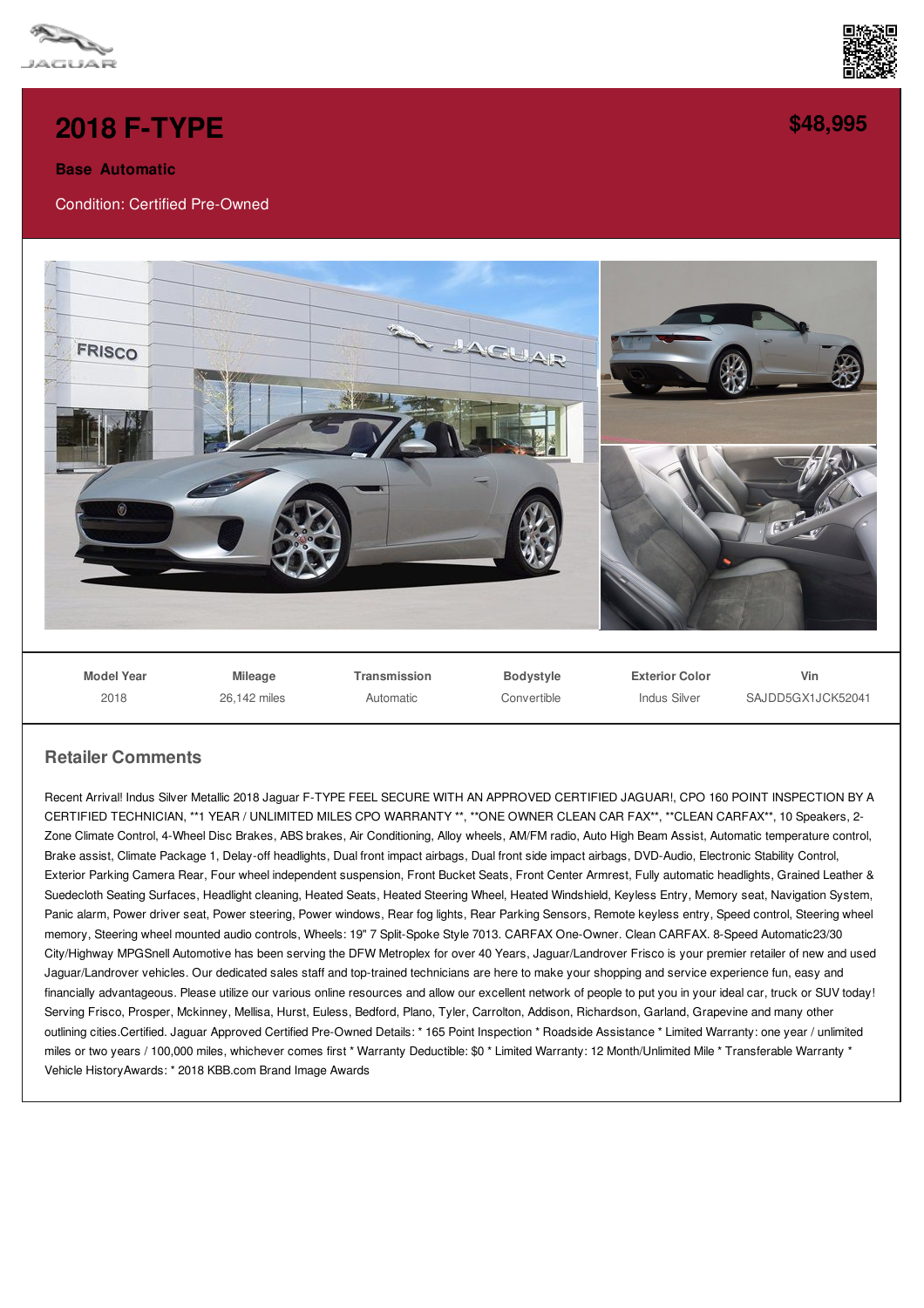



## **Base Automatic**

Condition: Certified Pre-Owned



## **Retailer Comments**

Recent Arrival! Indus Silver Metallic 2018 Jaguar F-TYPE FEEL SECURE WITH AN APPROVED CERTIFIED JAGUAR!, CPO 160 POINT INSPECTION BY A CERTIFIED TECHNICIAN, \*\*1 YEAR / UNLIMITED MILES CPO WARRANTY \*\*, \*\*ONE OWNER CLEAN CAR FAX\*\*, \*\*CLEAN CARFAX\*\*, 10 Speakers, 2- Zone Climate Control, 4-Wheel Disc Brakes, ABS brakes, Air Conditioning, Alloy wheels, AM/FM radio, Auto High Beam Assist, Automatic temperature control, Brake assist, Climate Package 1, Delay-off headlights, Dual front impact airbags, Dual front side impact airbags, DVD-Audio, Electronic Stability Control, Exterior Parking Camera Rear, Four wheel independent suspension, Front Bucket Seats, Front Center Armrest, Fully automatic headlights, Grained Leather & Suedecloth Seating Surfaces, Headlight cleaning, Heated Seats, Heated Steering Wheel, Heated Windshield, Keyless Entry, Memory seat, Navigation System, Panic alarm, Power driver seat, Power steering, Power windows, Rear fog lights, Rear Parking Sensors, Remote keyless entry, Speed control, Steering wheel memory, Steering wheel mounted audio controls, Wheels: 19" 7 Split-Spoke Style 7013. CARFAX One-Owner. Clean CARFAX. 8-Speed Automatic23/30 City/Highway MPGSnell Automotive has been serving the DFW Metroplex for over 40 Years, Jaguar/Landrover Frisco is your premier retailer of new and used Jaguar/Landrover vehicles. Our dedicated sales staff and top-trained technicians are here to make your shopping and service experience fun, easy and financially advantageous. Please utilize our various online resources and allow our excellent network of people to put you in your ideal car, truck or SUV today! Serving Frisco, Prosper, Mckinney, Mellisa, Hurst, Euless, Bedford, Plano, Tyler, Carrolton, Addison, Richardson, Garland, Grapevine and many other outlining cities.Certified. Jaguar Approved Certified Pre-Owned Details: \* 165 Point Inspection \* Roadside Assistance \* Limited Warranty: one year / unlimited miles or two years / 100,000 miles, whichever comes first \* Warranty Deductible: \$0 \* Limited Warranty: 12 Month/Unlimited Mile \* Transferable Warranty \* Vehicle HistoryAwards: \* 2018 KBB.com Brand Image Awards



**[\\$48,995](/used-certified/pdf/)**